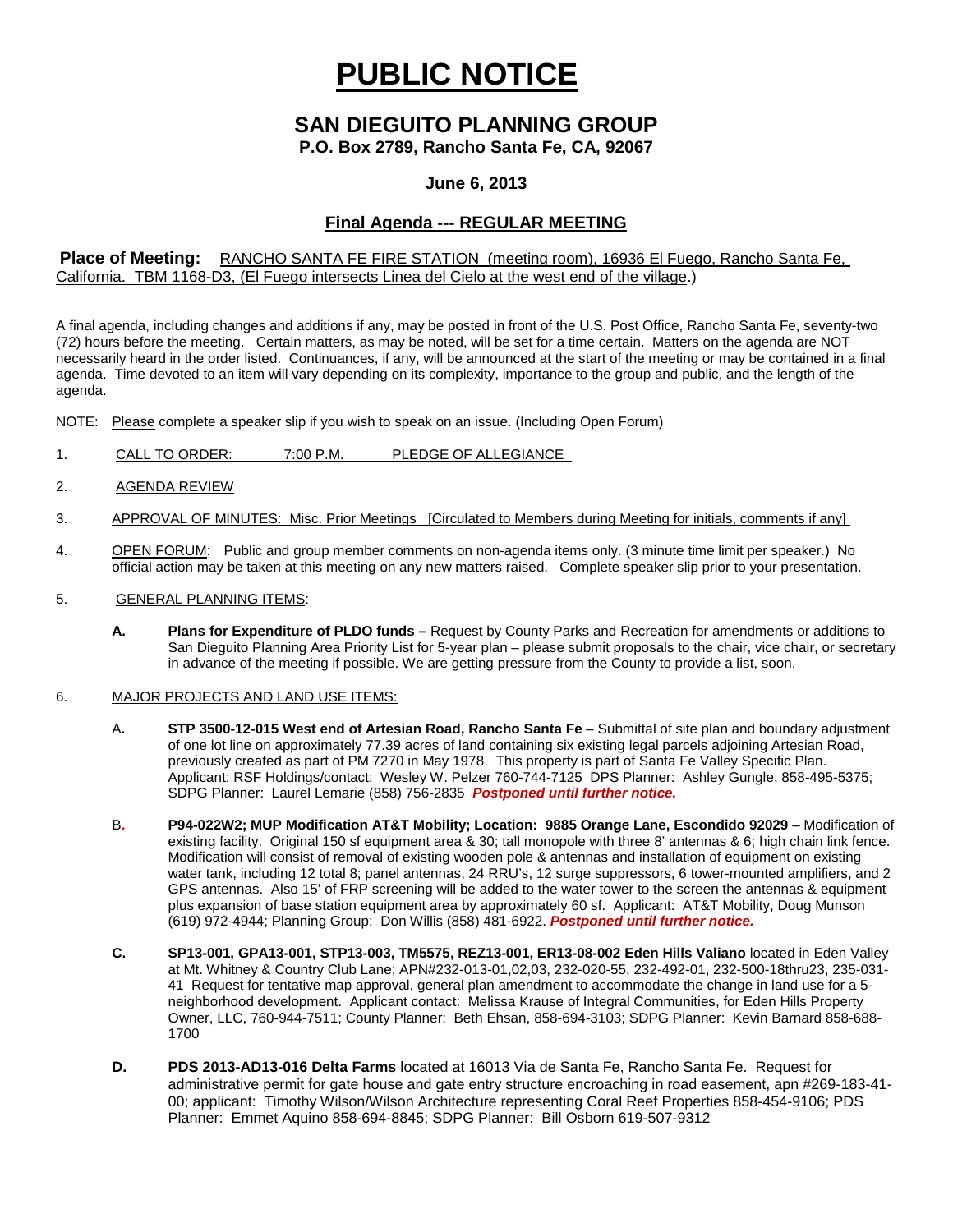# **PUBLIC NOTICE**

# **SAN DIEGUITO PLANNING GROUP**

**P.O. Box 2789, Rancho Santa Fe, CA, 92067**

### **June 6, 2013**

## **Final Agenda --- REGULAR MEETING**

#### **Place of Meeting:** RANCHO SANTA FE FIRE STATION (meeting room), 16936 El Fuego, Rancho Santa Fe, California. TBM 1168-D3, (El Fuego intersects Linea del Cielo at the west end of the village.)

A final agenda, including changes and additions if any, may be posted in front of the U.S. Post Office, Rancho Santa Fe, seventy-two (72) hours before the meeting. Certain matters, as may be noted, will be set for a time certain. Matters on the agenda are NOT necessarily heard in the order listed. Continuances, if any, will be announced at the start of the meeting or may be contained in a final agenda. Time devoted to an item will vary depending on its complexity, importance to the group and public, and the length of the agenda.

NOTE: Please complete a speaker slip if you wish to speak on an issue. (Including Open Forum)

- 1. CALL TO ORDER: 7:00 P.M. PLEDGE OF ALLEGIANCE
- 2. AGENDA REVIEW
- 3. APPROVAL OF MINUTES: Misc. Prior Meetings [Circulated to Members during Meeting for initials, comments if any]
- 4. OPEN FORUM: Public and group member comments on non-agenda items only. (3 minute time limit per speaker.) No official action may be taken at this meeting on any new matters raised. Complete speaker slip prior to your presentation.
- 5. GENERAL PLANNING ITEMS:
	- **A. Plans for Expenditure of PLDO funds –** Request by County Parks and Recreation for amendments or additions to San Dieguito Planning Area Priority List for 5-year plan – please submit proposals to the chair, vice chair, or secretary in advance of the meeting if possible. We are getting pressure from the County to provide a list, soon.

#### 6. MAJOR PROJECTS AND LAND USE ITEMS:

- A**. STP 3500-12-015 West end of Artesian Road, Rancho Santa Fe** Submittal of site plan and boundary adjustment of one lot line on approximately 77.39 acres of land containing six existing legal parcels adjoining Artesian Road, previously created as part of PM 7270 in May 1978. This property is part of Santa Fe Valley Specific Plan. Applicant: RSF Holdings/contact: Wesley W. Pelzer 760-744-7125 DPS Planner: Ashley Gungle, 858-495-5375; SDPG Planner: Laurel Lemarie (858) 756-2835 *Postponed until further notice.*
- B**. P94-022W2; MUP Modification AT&T Mobility; Location: 9885 Orange Lane, Escondido 92029** Modification of existing facility. Original 150 sf equipment area & 30; tall monopole with three 8' antennas & 6; high chain link fence. Modification will consist of removal of existing wooden pole & antennas and installation of equipment on existing water tank, including 12 total 8; panel antennas, 24 RRU's, 12 surge suppressors, 6 tower-mounted amplifiers, and 2 GPS antennas. Also 15' of FRP screening will be added to the water tower to the screen the antennas & equipment plus expansion of base station equipment area by approximately 60 sf. Applicant: AT&T Mobility, Doug Munson (619) 972-4944; Planning Group: Don Willis (858) 481-6922. *Postponed until further notice.*
- **C. SP13-001, GPA13-001, STP13-003, TM5575, REZ13-001, ER13-08-002 Eden Hills Valiano** located in Eden Valley at Mt. Whitney & Country Club Lane; APN#232-013-01,02,03, 232-020-55, 232-492-01, 232-500-18thru23, 235-031- 41 Request for tentative map approval, general plan amendment to accommodate the change in land use for a 5 neighborhood development. Applicant contact: Melissa Krause of Integral Communities, for Eden Hills Property Owner, LLC, 760-944-7511; County Planner: Beth Ehsan, 858-694-3103; SDPG Planner: Kevin Barnard 858-688- 1700
- **D. PDS 2013-AD13-016 Delta Farms** located at 16013 Via de Santa Fe, Rancho Santa Fe. Request for administrative permit for gate house and gate entry structure encroaching in road easement, apn #269-183-41- 00; applicant: Timothy Wilson/Wilson Architecture representing Coral Reef Properties 858-454-9106; PDS Planner: Emmet Aquino 858-694-8845; SDPG Planner: Bill Osborn 619-507-9312